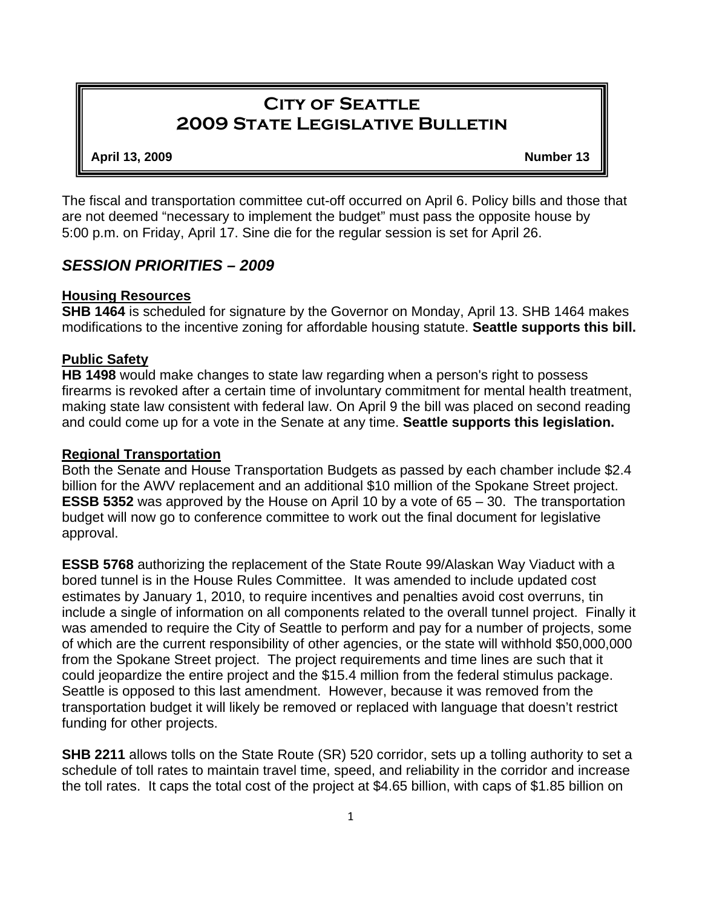# **City of Seattle 2009 State Legislative Bulletin**

#### **April 13, 2009 Number 13**

The fiscal and transportation committee cut-off occurred on April 6. Policy bills and those that are not deemed "necessary to implement the budget" must pass the opposite house by 5:00 p.m. on Friday, April 17. Sine die for the regular session is set for April 26.

## *SESSION PRIORITIES – 2009*

### **Housing Resources**

**SHB 1464** is scheduled for signature by the Governor on Monday, April 13. SHB 1464 makes modifications to the incentive zoning for affordable housing statute. **Seattle supports this bill.**

### **Public Safety**

**HB 1498** would make changes to state law regarding when a person's right to possess firearms is revoked after a certain time of involuntary commitment for mental health treatment, making state law consistent with federal law. On April 9 the bill was placed on second reading and could come up for a vote in the Senate at any time. **Seattle supports this legislation.**

#### **Regional Transportation**

Both the Senate and House Transportation Budgets as passed by each chamber include \$2.4 billion for the AWV replacement and an additional \$10 million of the Spokane Street project. **ESSB 5352** was approved by the House on April 10 by a vote of 65 – 30. The transportation budget will now go to conference committee to work out the final document for legislative approval.

**ESSB 5768** authorizing the replacement of the State Route 99/Alaskan Way Viaduct with a bored tunnel is in the House Rules Committee. It was amended to include updated cost estimates by January 1, 2010, to require incentives and penalties avoid cost overruns, tin include a single of information on all components related to the overall tunnel project. Finally it was amended to require the City of Seattle to perform and pay for a number of projects, some of which are the current responsibility of other agencies, or the state will withhold \$50,000,000 from the Spokane Street project. The project requirements and time lines are such that it could jeopardize the entire project and the \$15.4 million from the federal stimulus package. Seattle is opposed to this last amendment. However, because it was removed from the transportation budget it will likely be removed or replaced with language that doesn't restrict funding for other projects.

**SHB 2211** allows tolls on the State Route (SR) 520 corridor, sets up a tolling authority to set a schedule of toll rates to maintain travel time, speed, and reliability in the corridor and increase the toll rates. It caps the total cost of the project at \$4.65 billion, with caps of \$1.85 billion on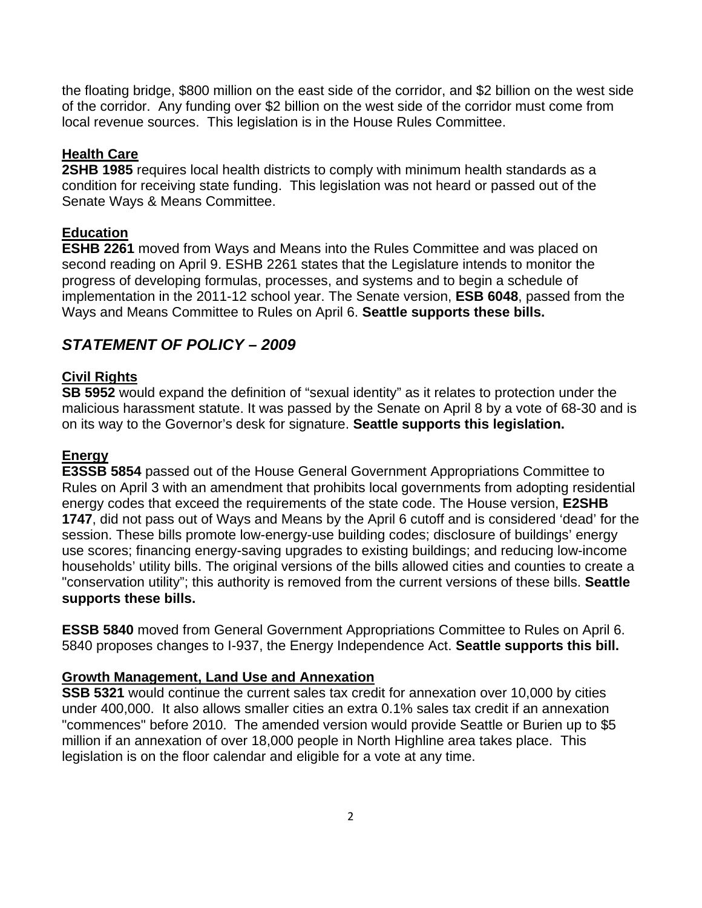the floating bridge, \$800 million on the east side of the corridor, and \$2 billion on the west side of the corridor. Any funding over \$2 billion on the west side of the corridor must come from local revenue sources. This legislation is in the House Rules Committee.

## **Health Care**

**2SHB 1985** requires local health districts to comply with minimum health standards as a condition for receiving state funding. This legislation was not heard or passed out of the Senate Ways & Means Committee.

# **Education**

**ESHB 2261** moved from Ways and Means into the Rules Committee and was placed on second reading on April 9. ESHB 2261 states that the Legislature intends to monitor the progress of developing formulas, processes, and systems and to begin a schedule of implementation in the 2011-12 school year. The Senate version, **ESB 6048**, passed from the Ways and Means Committee to Rules on April 6. **Seattle supports these bills.**

# *STATEMENT OF POLICY – 2009*

# **Civil Rights**

**SB 5952** would expand the definition of "sexual identity" as it relates to protection under the malicious harassment statute. It was passed by the Senate on April 8 by a vote of 68-30 and is on its way to the Governor's desk for signature. **Seattle supports this legislation.** 

## **Energy**

**E3SSB 5854** passed out of the House General Government Appropriations Committee to Rules on April 3 with an amendment that prohibits local governments from adopting residential energy codes that exceed the requirements of the state code. The House version, **E2SHB 1747**, did not pass out of Ways and Means by the April 6 cutoff and is considered 'dead' for the session. These bills promote low-energy-use building codes; disclosure of buildings' energy use scores; financing energy-saving upgrades to existing buildings; and reducing low-income households' utility bills. The original versions of the bills allowed cities and counties to create a "conservation utility"; this authority is removed from the current versions of these bills. **Seattle supports these bills.**

**ESSB 5840** moved from General Government Appropriations Committee to Rules on April 6. 5840 proposes changes to I-937, the Energy Independence Act. **Seattle supports this bill.**

## **Growth Management, Land Use and Annexation**

**SSB 5321** would continue the current sales tax credit for annexation over 10,000 by cities under 400,000. It also allows smaller cities an extra 0.1% sales tax credit if an annexation "commences" before 2010. The amended version would provide Seattle or Burien up to \$5 million if an annexation of over 18,000 people in North Highline area takes place. This legislation is on the floor calendar and eligible for a vote at any time.